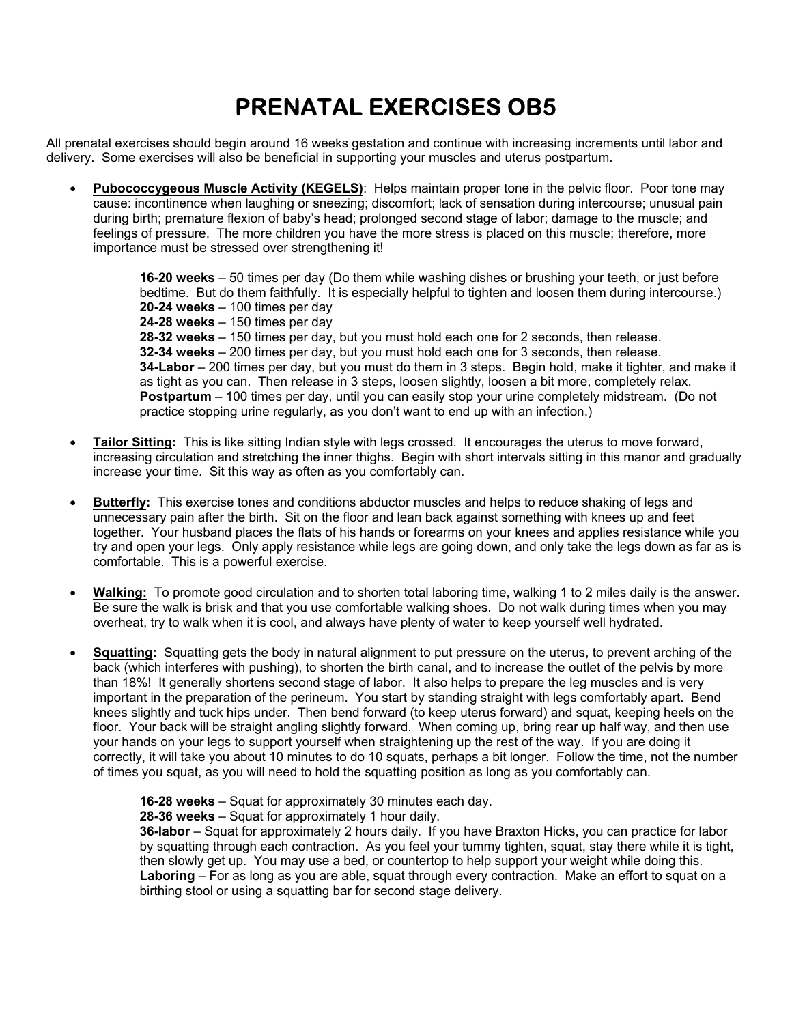## **PRENATAL EXERCISES OB5**

All prenatal exercises should begin around 16 weeks gestation and continue with increasing increments until labor and delivery. Some exercises will also be beneficial in supporting your muscles and uterus postpartum.

• **Pubococcygeous Muscle Activity (KEGELS)**: Helps maintain proper tone in the pelvic floor. Poor tone may cause: incontinence when laughing or sneezing; discomfort; lack of sensation during intercourse; unusual pain during birth; premature flexion of baby's head; prolonged second stage of labor; damage to the muscle; and feelings of pressure. The more children you have the more stress is placed on this muscle; therefore, more importance must be stressed over strengthening it!

> **16-20 weeks** – 50 times per day (Do them while washing dishes or brushing your teeth, or just before bedtime. But do them faithfully. It is especially helpful to tighten and loosen them during intercourse.)  **20-24 weeks** – 100 times per day

 **24-28 weeks** – 150 times per day  **28-32 weeks** – 150 times per day, but you must hold each one for 2 seconds, then release.  **32-34 weeks** – 200 times per day, but you must hold each one for 3 seconds, then release.  **34-Labor** – 200 times per day, but you must do them in 3 steps. Begin hold, make it tighter, and make it as tight as you can. Then release in 3 steps, loosen slightly, loosen a bit more, completely relax. **Postpartum** – 100 times per day, until you can easily stop your urine completely midstream. (Do not practice stopping urine regularly, as you don't want to end up with an infection.)

- **Tailor Sitting:** This is like sitting Indian style with legs crossed. It encourages the uterus to move forward, increasing circulation and stretching the inner thighs. Begin with short intervals sitting in this manor and gradually increase your time. Sit this way as often as you comfortably can.
- **Butterfly:** This exercise tones and conditions abductor muscles and helps to reduce shaking of legs and unnecessary pain after the birth. Sit on the floor and lean back against something with knees up and feet together. Your husband places the flats of his hands or forearms on your knees and applies resistance while you try and open your legs. Only apply resistance while legs are going down, and only take the legs down as far as is comfortable. This is a powerful exercise.
- **Walking:** To promote good circulation and to shorten total laboring time, walking 1 to 2 miles daily is the answer. Be sure the walk is brisk and that you use comfortable walking shoes. Do not walk during times when you may overheat, try to walk when it is cool, and always have plenty of water to keep yourself well hydrated.
- **Squatting:** Squatting gets the body in natural alignment to put pressure on the uterus, to prevent arching of the back (which interferes with pushing), to shorten the birth canal, and to increase the outlet of the pelvis by more than 18%! It generally shortens second stage of labor. It also helps to prepare the leg muscles and is very important in the preparation of the perineum. You start by standing straight with legs comfortably apart. Bend knees slightly and tuck hips under. Then bend forward (to keep uterus forward) and squat, keeping heels on the floor. Your back will be straight angling slightly forward. When coming up, bring rear up half way, and then use your hands on your legs to support yourself when straightening up the rest of the way. If you are doing it correctly, it will take you about 10 minutes to do 10 squats, perhaps a bit longer. Follow the time, not the number of times you squat, as you will need to hold the squatting position as long as you comfortably can.

 **16-28 weeks** – Squat for approximately 30 minutes each day.

 **28-36 weeks** – Squat for approximately 1 hour daily.

**36-labor** – Squat for approximately 2 hours daily. If you have Braxton Hicks, you can practice for labor by squatting through each contraction. As you feel your tummy tighten, squat, stay there while it is tight, then slowly get up. You may use a bed, or countertop to help support your weight while doing this.  **Laboring** – For as long as you are able, squat through every contraction. Make an effort to squat on a birthing stool or using a squatting bar for second stage delivery.